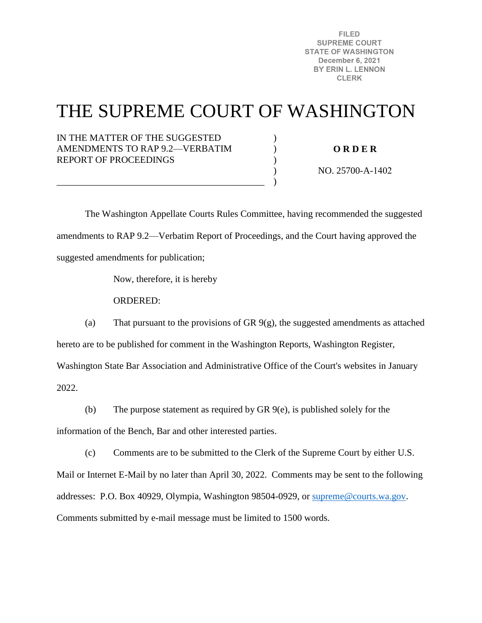**FILED SUPREME COURT STATE OF WASHINGTON December 6, 2021** BY ERIN L. LENNON **CLERK** 

# THE SUPREME COURT OF WASHINGTON

) ) ) ) )

## IN THE MATTER OF THE SUGGESTED AMENDMENTS TO RAP 9.2—VERBATIM REPORT OF PROCEEDINGS

\_\_\_\_\_\_\_\_\_\_\_\_\_\_\_\_\_\_\_\_\_\_\_\_\_\_\_\_\_\_\_\_\_\_\_\_\_\_\_\_\_\_\_\_

**O R D E R** 

NO. 25700-A-1402

 The Washington Appellate Courts Rules Committee, having recommended the suggested amendments to RAP 9.2—Verbatim Report of Proceedings, and the Court having approved the suggested amendments for publication;

Now, therefore, it is hereby

ORDERED:

(a) That pursuant to the provisions of GR 9(g), the suggested amendments as attached hereto are to be published for comment in the Washington Reports, Washington Register, Washington State Bar Association and Administrative Office of the Court's websites in January

2022.

(b) The purpose statement as required by GR 9(e), is published solely for the

information of the Bench, Bar and other interested parties.

(c) Comments are to be submitted to the Clerk of the Supreme Court by either U.S.

Mail or Internet E-Mail by no later than April 30, 2022. Comments may be sent to the following addresses: P.O. Box 40929, Olympia, Washington 98504-0929, or [supreme@courts.wa.gov.](mailto:supreme@courts.wa.gov) Comments submitted by e-mail message must be limited to 1500 words.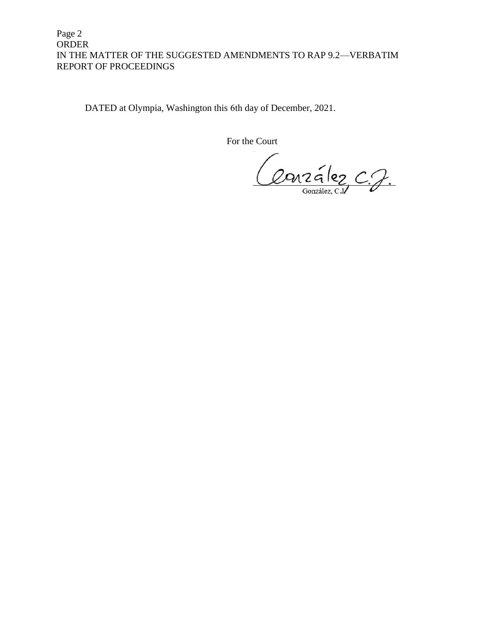# Page 2 ORDER IN THE MATTER OF THE SUGGESTED AMENDMENTS TO RAP 9.2—VERBATIM REPORT OF PROCEEDINGS

DATED at Olympia, Washington this 6th day of December, 2021.

For the Court

Conzález C.J.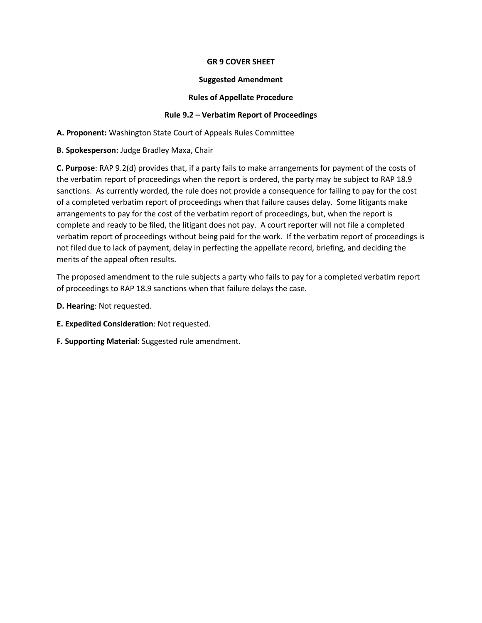## **GR 9 COVER SHEET**

#### **Suggested Amendment**

## **Rules of Appellate Procedure**

## **Rule 9.2 – Verbatim Report of Proceedings**

**A. Proponent:** Washington State Court of Appeals Rules Committee

**B. Spokesperson:** Judge Bradley Maxa, Chair

**C. Purpose**: RAP 9.2(d) provides that, if a party fails to make arrangements for payment of the costs of the verbatim report of proceedings when the report is ordered, the party may be subject to RAP 18.9 sanctions. As currently worded, the rule does not provide a consequence for failing to pay for the cost of a completed verbatim report of proceedings when that failure causes delay. Some litigants make arrangements to pay for the cost of the verbatim report of proceedings, but, when the report is complete and ready to be filed, the litigant does not pay. A court reporter will not file a completed verbatim report of proceedings without being paid for the work. If the verbatim report of proceedings is not filed due to lack of payment, delay in perfecting the appellate record, briefing, and deciding the merits of the appeal often results.

The proposed amendment to the rule subjects a party who fails to pay for a completed verbatim report of proceedings to RAP 18.9 sanctions when that failure delays the case.

- **D. Hearing**: Not requested.
- **E. Expedited Consideration**: Not requested.
- **F. Supporting Material**: Suggested rule amendment.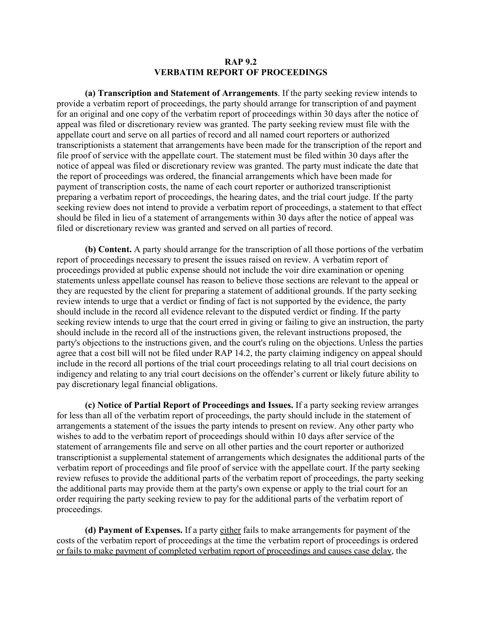#### **RAP 9.2 VERBATIM REPORT OF PROCEEDINGS**

**(a) Transcription and Statement of Arrangements**. If the party seeking review intends to provide a verbatim report of proceedings, the party should arrange for transcription of and payment for an original and one copy of the verbatim report of proceedings within 30 days after the notice of appeal was filed or discretionary review was granted. The party seeking review must file with the appellate court and serve on all parties of record and all named court reporters or authorized transcriptionists a statement that arrangements have been made for the transcription of the report and file proof of service with the appellate court. The statement must be filed within 30 days after the notice of appeal was filed or discretionary review was granted. The party must indicate the date that the report of proceedings was ordered, the financial arrangements which have been made for payment of transcription costs, the name of each court reporter or authorized transcriptionist preparing a verbatim report of proceedings, the hearing dates, and the trial court judge. If the party seeking review does not intend to provide a verbatim report of proceedings, a statement to that effect should be filed in lieu of a statement of arrangements within 30 days after the notice of appeal was filed or discretionary review was granted and served on all parties of record.

**(b) Content.** A party should arrange for the transcription of all those portions of the verbatim report of proceedings necessary to present the issues raised on review. A verbatim report of proceedings provided at public expense should not include the voir dire examination or opening statements unless appellate counsel has reason to believe those sections are relevant to the appeal or they are requested by the client for preparing a statement of additional grounds. If the party seeking review intends to urge that a verdict or finding of fact is not supported by the evidence, the party should include in the record all evidence relevant to the disputed verdict or finding. If the party seeking review intends to urge that the court erred in giving or failing to give an instruction, the party should include in the record all of the instructions given, the relevant instructions proposed, the party's objections to the instructions given, and the court's ruling on the objections. Unless the parties agree that a cost bill will not be filed under RAP 14.2, the party claiming indigency on appeal should include in the record all portions of the trial court proceedings relating to all trial court decisions on indigency and relating to any trial court decisions on the offender's current or likely future ability to pay discretionary legal financial obligations.

**(c) Notice of Partial Report of Proceedings and Issues.** If a party seeking review arranges for less than all of the verbatim report of proceedings, the party should include in the statement of arrangements a statement of the issues the party intends to present on review. Any other party who wishes to add to the verbatim report of proceedings should within 10 days after service of the statement of arrangements file and serve on all other parties and the court reporter or authorized transcriptionist a supplemental statement of arrangements which designates the additional parts of the verbatim report of proceedings and file proof of service with the appellate court. If the party seeking review refuses to provide the additional parts of the verbatim report of proceedings, the party seeking the additional parts may provide them at the party's own expense or apply to the trial court for an order requiring the party seeking review to pay for the additional parts of the verbatim report of proceedings.

**(d) Payment of Expenses.** If a party either fails to make arrangements for payment of the costs of the verbatim report of proceedings at the time the verbatim report of proceedings is ordered or fails to make payment of completed verbatim report of proceedings and causes case delay, the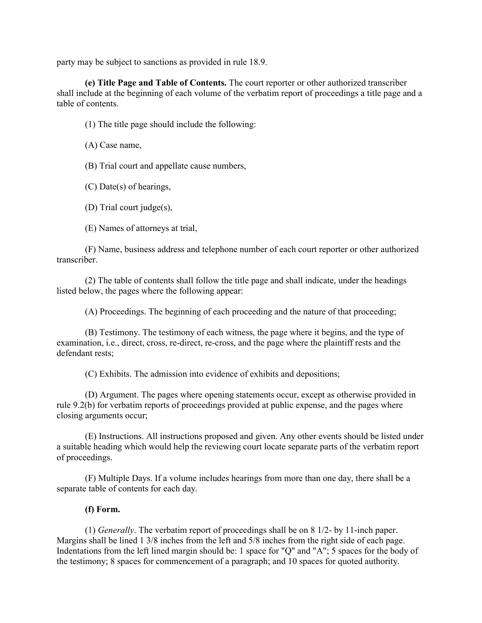party may be subject to sanctions as provided in rule 18.9.

**(e) Title Page and Table of Contents.** The court reporter or other authorized transcriber shall include at the beginning of each volume of the verbatim report of proceedings a title page and a table of contents.

(1) The title page should include the following:

(A) Case name,

(B) Trial court and appellate cause numbers,

(C) Date(s) of hearings,

(D) Trial court judge(s),

(E) Names of attorneys at trial,

(F) Name, business address and telephone number of each court reporter or other authorized transcriber.

(2) The table of contents shall follow the title page and shall indicate, under the headings listed below, the pages where the following appear:

(A) Proceedings. The beginning of each proceeding and the nature of that proceeding;

(B) Testimony. The testimony of each witness, the page where it begins, and the type of examination, i.e., direct, cross, re-direct, re-cross, and the page where the plaintiff rests and the defendant rests;

(C) Exhibits. The admission into evidence of exhibits and depositions;

(D) Argument. The pages where opening statements occur, except as otherwise provided in rule 9.2(b) for verbatim reports of proceedings provided at public expense, and the pages where closing arguments occur;

(E) Instructions. All instructions proposed and given. Any other events should be listed under a suitable heading which would help the reviewing court locate separate parts of the verbatim report of proceedings.

(F) Multiple Days. If a volume includes hearings from more than one day, there shall be a separate table of contents for each day.

#### **(f) Form.**

(1) *Generally*. The verbatim report of proceedings shall be on 8 1/2- by 11-inch paper. Margins shall be lined 1 3/8 inches from the left and 5/8 inches from the right side of each page. Indentations from the left lined margin should be: 1 space for "Q" and "A"; 5 spaces for the body of the testimony; 8 spaces for commencement of a paragraph; and 10 spaces for quoted authority.